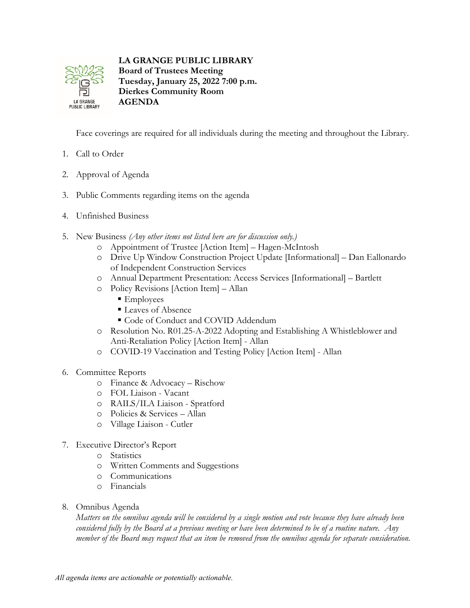

## **LA GRANGE PUBLIC LIBRARY**

**Board of Trustees Meeting Tuesday, January 25, 2022 7:00 p.m. Dierkes Community Room AGENDA**

Face coverings are required for all individuals during the meeting and throughout the Library.

- 1. Call to Order
- 2. Approval of Agenda
- 3. Public Comments regarding items on the agenda
- 4. Unfinished Business
- 5. New Business *(Any other items not listed here are for discussion only.)*
	- o Appointment of Trustee [Action Item] Hagen-McIntosh
	- o Drive Up Window Construction Project Update [Informational] Dan Eallonardo of Independent Construction Services
	- o Annual Department Presentation: Access Services [Informational] Bartlett
	- o Policy Revisions [Action Item] Allan
		- **Employees**
		- Leaves of Absence
		- $\blacksquare$  Code of Conduct and COVID Addendum
	- o Resolution No. R01.25-A-2022 Adopting and Establishing A Whistleblower and Anti-Retaliation Policy [Action Item] - Allan
	- o COVID-19 Vaccination and Testing Policy [Action Item] Allan
- 6. Committee Reports
	- o Finance & Advocacy Rischow
	- o FOL Liaison Vacant
	- o RAILS/ILA Liaison Spratford
	- o Policies & Services Allan
	- o Village Liaison Cutler
- 7. Executive Director's Report
	- o Statistics
	- o Written Comments and Suggestions
	- o Communications
	- o Financials
- 8. Omnibus Agenda

*Matters on the omnibus agenda will be considered by a single motion and vote because they have already been considered fully by the Board at a previous meeting or have been determined to be of a routine nature. Any member of the Board may request that an item be removed from the omnibus agenda for separate consideration.*